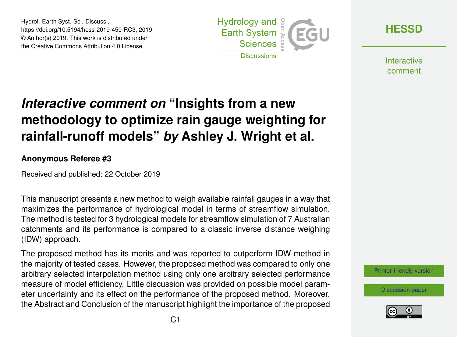Hydrol. Earth Syst. Sci. Discuss., https://doi.org/10.5194/hess-2019-450-RC3, 2019 © Author(s) 2019. This work is distributed under the Creative Commons Attribution 4.0 License.



**[HESSD](https://www.hydrol-earth-syst-sci-discuss.net/)**

**Interactive** comment

# *Interactive comment on* **"Insights from a new methodology to optimize rain gauge weighting for rainfall-runoff models"** *by* **Ashley J. Wright et al.**

#### **Anonymous Referee #3**

Received and published: 22 October 2019

This manuscript presents a new method to weigh available rainfall gauges in a way that maximizes the performance of hydrological model in terms of streamflow simulation. The method is tested for 3 hydrological models for streamflow simulation of 7 Australian catchments and its performance is compared to a classic inverse distance weighing (IDW) approach.

The proposed method has its merits and was reported to outperform IDW method in the majority of tested cases. However, the proposed method was compared to only one arbitrary selected interpolation method using only one arbitrary selected performance measure of model efficiency. Little discussion was provided on possible model parameter uncertainty and its effect on the performance of the proposed method. Moreover, the Abstract and Conclusion of the manuscript highlight the importance of the proposed



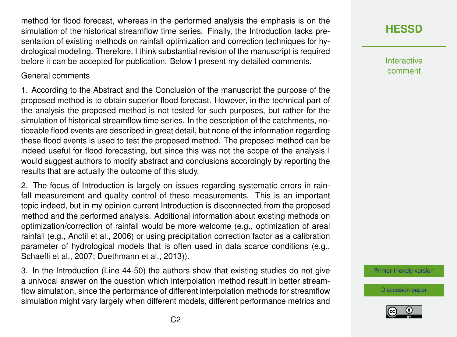method for flood forecast, whereas in the performed analysis the emphasis is on the simulation of the historical streamflow time series. Finally, the Introduction lacks presentation of existing methods on rainfall optimization and correction techniques for hydrological modeling. Therefore, I think substantial revision of the manuscript is required before it can be accepted for publication. Below I present my detailed comments.

#### General comments

1. According to the Abstract and the Conclusion of the manuscript the purpose of the proposed method is to obtain superior flood forecast. However, in the technical part of the analysis the proposed method is not tested for such purposes, but rather for the simulation of historical streamflow time series. In the description of the catchments, noticeable flood events are described in great detail, but none of the information regarding these flood events is used to test the proposed method. The proposed method can be indeed useful for flood forecasting, but since this was not the scope of the analysis I would suggest authors to modify abstract and conclusions accordingly by reporting the results that are actually the outcome of this study.

2. The focus of Introduction is largely on issues regarding systematic errors in rainfall measurement and quality control of these measurements. This is an important topic indeed, but in my opinion current Introduction is disconnected from the proposed method and the performed analysis. Additional information about existing methods on optimization/correction of rainfall would be more welcome (e.g., optimization of areal rainfall (e.g., Anctil et al., 2006) or using precipitation correction factor as a calibration parameter of hydrological models that is often used in data scarce conditions (e.g., Schaefli et al., 2007; Duethmann et al., 2013)).

3. In the Introduction (Line 44-50) the authors show that existing studies do not give a univocal answer on the question which interpolation method result in better streamflow simulation, since the performance of different interpolation methods for streamflow simulation might vary largely when different models, different performance metrics and

# **[HESSD](https://www.hydrol-earth-syst-sci-discuss.net/)**

**Interactive** comment

[Printer-friendly version](https://www.hydrol-earth-syst-sci-discuss.net/hess-2019-450/hess-2019-450-RC3-print.pdf)

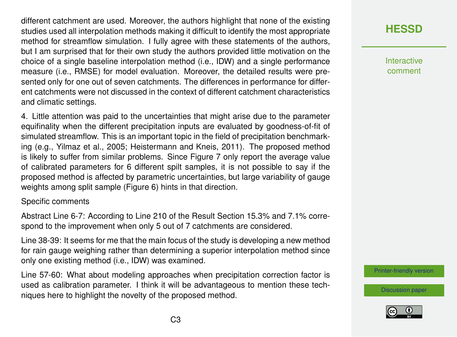different catchment are used. Moreover, the authors highlight that none of the existing studies used all interpolation methods making it difficult to identify the most appropriate method for streamflow simulation. I fully agree with these statements of the authors, but I am surprised that for their own study the authors provided little motivation on the choice of a single baseline interpolation method (i.e., IDW) and a single performance measure (i.e., RMSE) for model evaluation. Moreover, the detailed results were presented only for one out of seven catchments. The differences in performance for different catchments were not discussed in the context of different catchment characteristics and climatic settings.

4. Little attention was paid to the uncertainties that might arise due to the parameter equifinality when the different precipitation inputs are evaluated by goodness-of-fit of simulated streamflow. This is an important topic in the field of precipitation benchmarking (e.g., Yilmaz et al., 2005; Heistermann and Kneis, 2011). The proposed method is likely to suffer from similar problems. Since Figure 7 only report the average value of calibrated parameters for 6 different spilt samples, it is not possible to say if the proposed method is affected by parametric uncertainties, but large variability of gauge weights among split sample (Figure 6) hints in that direction.

#### Specific comments

Abstract Line 6-7: According to Line 210 of the Result Section 15.3% and 7.1% correspond to the improvement when only 5 out of 7 catchments are considered.

Line 38-39: It seems for me that the main focus of the study is developing a new method for rain gauge weighing rather than determining a superior interpolation method since only one existing method (i.e., IDW) was examined.

Line 57-60: What about modeling approaches when precipitation correction factor is used as calibration parameter. I think it will be advantageous to mention these techniques here to highlight the novelty of the proposed method.

# **[HESSD](https://www.hydrol-earth-syst-sci-discuss.net/)**

**Interactive** comment

[Printer-friendly version](https://www.hydrol-earth-syst-sci-discuss.net/hess-2019-450/hess-2019-450-RC3-print.pdf)



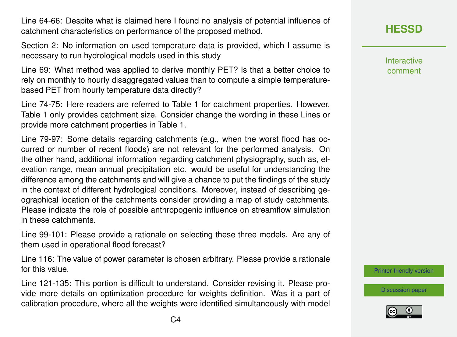Line 64-66: Despite what is claimed here I found no analysis of potential influence of catchment characteristics on performance of the proposed method.

Section 2: No information on used temperature data is provided, which I assume is necessary to run hydrological models used in this study

Line 69: What method was applied to derive monthly PET? Is that a better choice to rely on monthly to hourly disaggregated values than to compute a simple temperaturebased PET from hourly temperature data directly?

Line 74-75: Here readers are referred to Table 1 for catchment properties. However, Table 1 only provides catchment size. Consider change the wording in these Lines or provide more catchment properties in Table 1.

Line 79-97: Some details regarding catchments (e.g., when the worst flood has occurred or number of recent floods) are not relevant for the performed analysis. On the other hand, additional information regarding catchment physiography, such as, elevation range, mean annual precipitation etc. would be useful for understanding the difference among the catchments and will give a chance to put the findings of the study in the context of different hydrological conditions. Moreover, instead of describing geographical location of the catchments consider providing a map of study catchments. Please indicate the role of possible anthropogenic influence on streamflow simulation in these catchments.

Line 99-101: Please provide a rationale on selecting these three models. Are any of them used in operational flood forecast?

Line 116: The value of power parameter is chosen arbitrary. Please provide a rationale for this value.

Line 121-135: This portion is difficult to understand. Consider revising it. Please provide more details on optimization procedure for weights definition. Was it a part of calibration procedure, where all the weights were identified simultaneously with model

### **[HESSD](https://www.hydrol-earth-syst-sci-discuss.net/)**

**Interactive** comment

[Printer-friendly version](https://www.hydrol-earth-syst-sci-discuss.net/hess-2019-450/hess-2019-450-RC3-print.pdf)

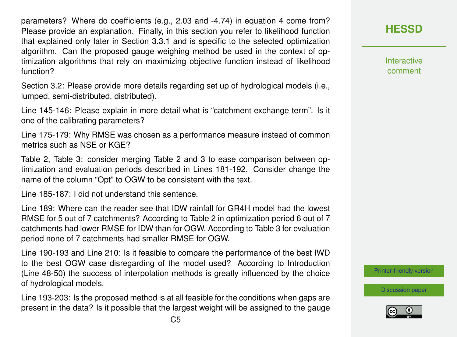parameters? Where do coefficients (e.g., 2.03 and -4.74) in equation 4 come from? Please provide an explanation. Finally, in this section you refer to likelihood function that explained only later in Section 3.3.1 and is specific to the selected optimization algorithm. Can the proposed gauge weighing method be used in the context of optimization algorithms that rely on maximizing objective function instead of likelihood function?

Section 3.2: Please provide more details regarding set up of hydrological models (i.e., lumped, semi-distributed, distributed).

Line 145-146: Please explain in more detail what is "catchment exchange term". Is it one of the calibrating parameters?

Line 175-179: Why RMSE was chosen as a performance measure instead of common metrics such as NSE or KGE?

Table 2, Table 3: consider merging Table 2 and 3 to ease comparison between optimization and evaluation periods described in Lines 181-192. Consider change the name of the column "Opt" to OGW to be consistent with the text.

Line 185-187: I did not understand this sentence.

Line 189: Where can the reader see that IDW rainfall for GR4H model had the lowest RMSE for 5 out of 7 catchments? According to Table 2 in optimization period 6 out of 7 catchments had lower RMSE for IDW than for OGW. According to Table 3 for evaluation period none of 7 catchments had smaller RMSE for OGW.

Line 190-193 and Line 210: Is it feasible to compare the performance of the best IWD to the best OGW case disregarding of the model used? According to Introduction (Line 48-50) the success of interpolation methods is greatly influenced by the choice of hydrological models.

Line 193-203: Is the proposed method is at all feasible for the conditions when gaps are present in the data? Is it possible that the largest weight will be assigned to the gauge **[HESSD](https://www.hydrol-earth-syst-sci-discuss.net/)**

**Interactive** comment

[Printer-friendly version](https://www.hydrol-earth-syst-sci-discuss.net/hess-2019-450/hess-2019-450-RC3-print.pdf)

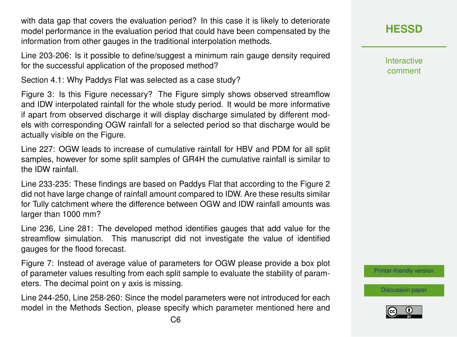with data gap that covers the evaluation period? In this case it is likely to deteriorate model performance in the evaluation period that could have been compensated by the information from other gauges in the traditional interpolation methods.

Line 203-206: Is it possible to define/suggest a minimum rain gauge density required for the successful application of the proposed method?

Section 4.1: Why Paddys Flat was selected as a case study?

Figure 3: Is this Figure necessary? The Figure simply shows observed streamflow and IDW interpolated rainfall for the whole study period. It would be more informative if apart from observed discharge it will display discharge simulated by different models with corresponding OGW rainfall for a selected period so that discharge would be actually visible on the Figure.

Line 227: OGW leads to increase of cumulative rainfall for HBV and PDM for all split samples, however for some split samples of GR4H the cumulative rainfall is similar to the IDW rainfall.

Line 233-235: These findings are based on Paddys Flat that according to the Figure 2 did not have large change of rainfall amount compared to IDW. Are these results similar for Tully catchment where the difference between OGW and IDW rainfall amounts was larger than 1000 mm?

Line 236, Line 281: The developed method identifies gauges that add value for the streamflow simulation. This manuscript did not investigate the value of identified gauges for the flood forecast.

Figure 7: Instead of average value of parameters for OGW please provide a box plot of parameter values resulting from each split sample to evaluate the stability of parameters. The decimal point on y axis is missing.

Line 244-250, Line 258-260: Since the model parameters were not introduced for each model in the Methods Section, please specify which parameter mentioned here and Interactive comment

[Printer-friendly version](https://www.hydrol-earth-syst-sci-discuss.net/hess-2019-450/hess-2019-450-RC3-print.pdf)

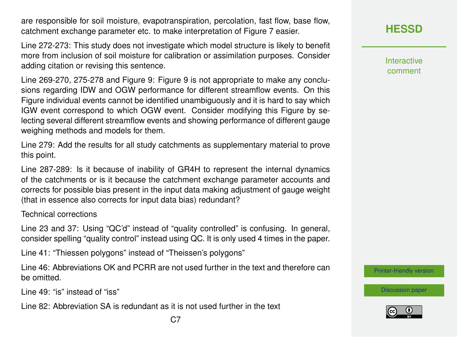are responsible for soil moisture, evapotranspiration, percolation, fast flow, base flow, catchment exchange parameter etc. to make interpretation of Figure 7 easier.

Line 272-273: This study does not investigate which model structure is likely to benefit more from inclusion of soil moisture for calibration or assimilation purposes. Consider adding citation or revising this sentence.

Line 269-270, 275-278 and Figure 9: Figure 9 is not appropriate to make any conclusions regarding IDW and OGW performance for different streamflow events. On this Figure individual events cannot be identified unambiguously and it is hard to say which IGW event correspond to which OGW event. Consider modifying this Figure by selecting several different streamflow events and showing performance of different gauge weighing methods and models for them.

Line 279: Add the results for all study catchments as supplementary material to prove this point.

Line 287-289: Is it because of inability of GR4H to represent the internal dynamics of the catchments or is it because the catchment exchange parameter accounts and corrects for possible bias present in the input data making adjustment of gauge weight (that in essence also corrects for input data bias) redundant?

Technical corrections

Line 23 and 37: Using "QC'd" instead of "quality controlled" is confusing. In general, consider spelling "quality control" instead using QC. It is only used 4 times in the paper.

Line 41: "Thiessen polygons" instead of "Theissen's polygons"

Line 46: Abbreviations OK and PCRR are not used further in the text and therefore can be omitted.

Line 49: "is" instead of "iss"

Line 82: Abbreviation SA is redundant as it is not used further in the text

Interactive comment

[Printer-friendly version](https://www.hydrol-earth-syst-sci-discuss.net/hess-2019-450/hess-2019-450-RC3-print.pdf)

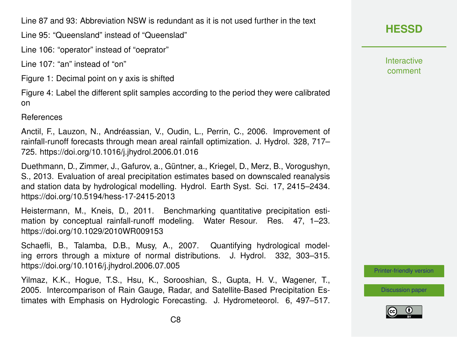Line 87 and 93: Abbreviation NSW is redundant as it is not used further in the text

Line 95: "Queensland" instead of "Queenslad"

Line 106: "operator" instead of "oeprator"

Line 107: "an" instead of "on"

Figure 1: Decimal point on y axis is shifted

Figure 4: Label the different split samples according to the period they were calibrated on

References

Anctil, F., Lauzon, N., Andréassian, V., Oudin, L., Perrin, C., 2006. Improvement of rainfall-runoff forecasts through mean areal rainfall optimization. J. Hydrol. 328, 717– 725. https://doi.org/10.1016/j.jhydrol.2006.01.016

Duethmann, D., Zimmer, J., Gafurov, a., Güntner, a., Kriegel, D., Merz, B., Vorogushyn, S., 2013. Evaluation of areal precipitation estimates based on downscaled reanalysis and station data by hydrological modelling. Hydrol. Earth Syst. Sci. 17, 2415–2434. https://doi.org/10.5194/hess-17-2415-2013

Heistermann, M., Kneis, D., 2011. Benchmarking quantitative precipitation estimation by conceptual rainfall-runoff modeling. Water Resour. Res. 47, 1-23. https://doi.org/10.1029/2010WR009153

Schaefli, B., Talamba, D.B., Musy, A., 2007. Quantifying hydrological modeling errors through a mixture of normal distributions. J. Hydrol. 332, 303–315. https://doi.org/10.1016/j.jhydrol.2006.07.005

Yilmaz, K.K., Hogue, T.S., Hsu, K., Sorooshian, S., Gupta, H. V., Wagener, T., 2005. Intercomparison of Rain Gauge, Radar, and Satellite-Based Precipitation Estimates with Emphasis on Hydrologic Forecasting. J. Hydrometeorol. 6, 497–517. **[HESSD](https://www.hydrol-earth-syst-sci-discuss.net/)**

**Interactive** comment

[Printer-friendly version](https://www.hydrol-earth-syst-sci-discuss.net/hess-2019-450/hess-2019-450-RC3-print.pdf)